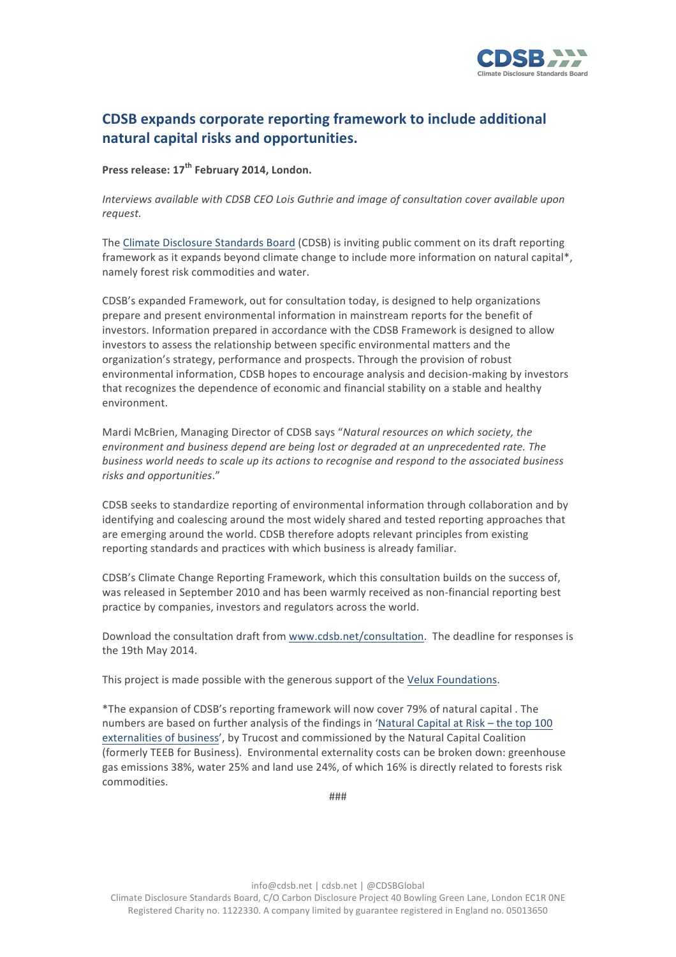

## **CDSB** expands corporate reporting framework to include additional **natural capital risks and opportunities.**

**Press release: 17th February 2014, London.**

*Interviews available with CDSB CEO Lois Guthrie and image of consultation cover available upon request.*

The Climate Disclosure Standards Board (CDSB) is inviting public comment on its draft reporting framework as it expands beyond climate change to include more information on natural capital\*. namely forest risk commodities and water.

CDSB's expanded Framework, out for consultation today, is designed to help organizations prepare and present environmental information in mainstream reports for the benefit of investors. Information prepared in accordance with the CDSB Framework is designed to allow investors to assess the relationship between specific environmental matters and the organization's strategy, performance and prospects. Through the provision of robust environmental information, CDSB hopes to encourage analysis and decision-making by investors that recognizes the dependence of economic and financial stability on a stable and healthy environment. 

Mardi McBrien, Managing Director of CDSB says "Natural resources on which society, the *environment and business depend are being lost or degraded at an unprecedented rate. The business* world needs to scale up its actions to recognise and respond to the associated business *risks and opportunities*."

CDSB seeks to standardize reporting of environmental information through collaboration and by identifying and coalescing around the most widely shared and tested reporting approaches that are emerging around the world. CDSB therefore adopts relevant principles from existing reporting standards and practices with which business is already familiar.

CDSB's Climate Change Reporting Framework, which this consultation builds on the success of, was released in September 2010 and has been warmly received as non-financial reporting best practice by companies, investors and regulators across the world.

Download the consultation draft from www.cdsb.net/consultation. The deadline for responses is the 19th May 2014.

This project is made possible with the generous support of the Velux Foundations.

\*The expansion of CDSB's reporting framework will now cover 79% of natural capital . The numbers are based on further analysis of the findings in 'Natural Capital at Risk – the top 100 externalities of business', by Trucost and commissioned by the Natural Capital Coalition (formerly TEEB for Business). Environmental externality costs can be broken down: greenhouse gas emissions 38%, water 25% and land use 24%, of which 16% is directly related to forests risk commodities.

###

info@cdsb.net | cdsb.net | @CDSBGlobal